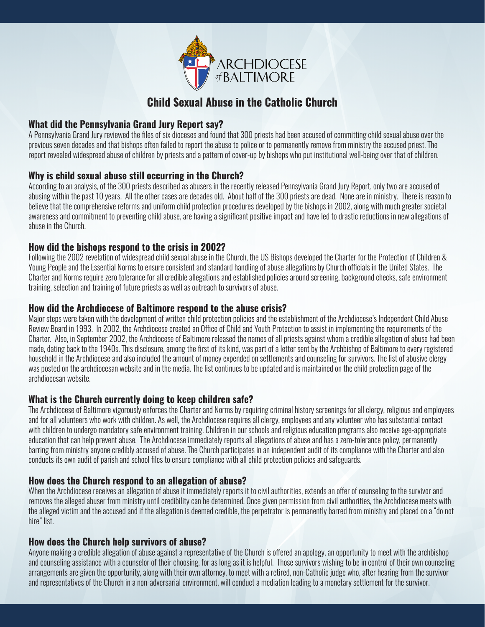

# **Child Sexual Abuse in the Catholic Church**

### **What did the Pennsylvania Grand Jury Report say?**

A Pennsylvania Grand Jury reviewed the files of six dioceses and found that 300 priests had been accused of committing child sexual abuse over the previous seven decades and that bishops often failed to report the abuse to police or to permanently remove from ministry the accused priest. The report revealed widespread abuse of children by priests and a pattern of cover-up by bishops who put institutional well-being over that of children.

# **Why is child sexual abuse still occurring in the Church?**

According to an analysis, of the 300 priests described as abusers in the recently released Pennsylvania Grand Jury Report, only two are accused of abusing within the past 10 years. All the other cases are decades old. About half of the 300 priests are dead. None are in ministry. There is reason to believe that the comprehensive reforms and uniform child protection procedures developed by the bishops in 2002, along with much greater societal awareness and commitment to preventing child abuse, are having a significant positive impact and have led to drastic reductions in new allegations of abuse in the Church.

### **How did the bishops respond to the crisis in 2002?**

Following the 2002 revelation of widespread child sexual abuse in the Church, the US Bishops developed the Charter for the Protection of Children & Young People and the Essential Norms to ensure consistent and standard handling of abuse allegations by Church officials in the United States. The Charter and Norms require zero tolerance for all credible allegations and established policies around screening, background checks, safe environment training, selection and training of future priests as well as outreach to survivors of abuse.

### **How did the Archdiocese of Baltimore respond to the abuse crisis?**

Major steps were taken with the development of written child protection policies and the establishment of the Archdiocese's Independent Child Abuse Review Board in 1993. In 2002, the Archdiocese created an Office of Child and Youth Protection to assist in implementing the requirements of the Charter. Also, in September 2002, the Archdiocese of Baltimore released the names of all priests against whom a credible allegation of abuse had been made, dating back to the 1940s. This disclosure, among the first of its kind, was part of a letter sent by the Archbishop of Baltimore to every registered household in the Archdiocese and also included the amount of money expended on settlements and counseling for survivors. The list of abusive clergy was posted on the archdiocesan website and in the media. The list continues to be updated and is maintained on the child protection page of the archdiocesan website.

# **What is the Church currently doing to keep children safe?**

The Archdiocese of Baltimore vigorously enforces the Charter and Norms by requiring criminal history screenings for all clergy, religious and employees and for all volunteers who work with children. As well, the Archdiocese requires all clergy, employees and any volunteer who has substantial contact with children to undergo mandatory safe environment training. Children in our schools and religious education programs also receive age-appropriate education that can help prevent abuse. The Archdiocese immediately reports all allegations of abuse and has a zero-tolerance policy, permanently barring from ministry anyone credibly accused of abuse. The Church participates in an independent audit of its compliance with the Charter and also conducts its own audit of parish and school files to ensure compliance with all child protection policies and safeguards.

# **How does the Church respond to an allegation of abuse?**

When the Archdiocese receives an allegation of abuse it immediately reports it to civil authorities, extends an offer of counseling to the survivor and removes the alleged abuser from ministry until credibility can be determined. Once given permission from civil authorities, the Archdiocese meets with the alleged victim and the accused and if the allegation is deemed credible, the perpetrator is permanently barred from ministry and placed on a "do not hire" list.

### **How does the Church help survivors of abuse?**

Anyone making a credible allegation of abuse against a representative of the Church is offered an apology, an opportunity to meet with the archbishop and counseling assistance with a counselor of their choosing, for as long as it is helpful. Those survivors wishing to be in control of their own counseling arrangements are given the opportunity, along with their own attorney, to meet with a retired, non-Catholic judge who, after hearing from the survivor and representatives of the Church in a non-adversarial environment, will conduct a mediation leading to a monetary settlement for the survivor.